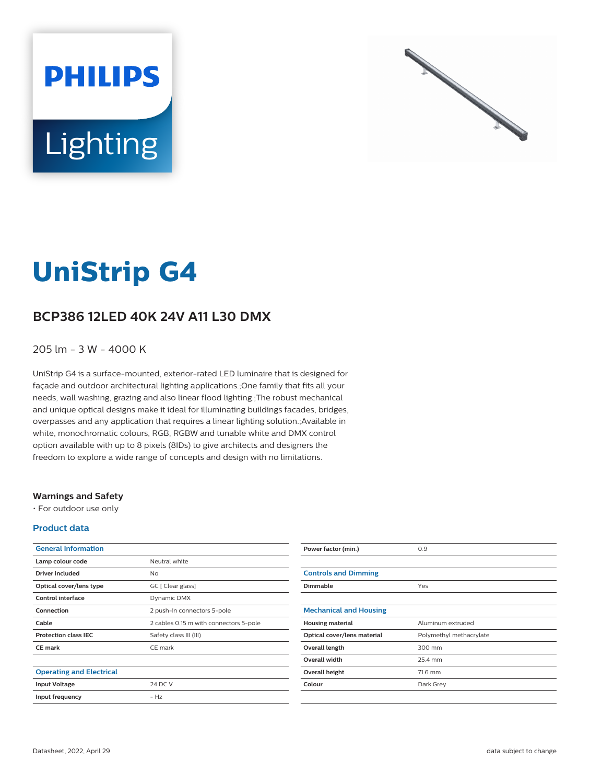



# **UniStrip G4**

# **BCP386 12LED 40K 24V A11 L30 DMX**

### 205 lm - 3 W - 4000 K

UniStrip G4 is a surface-mounted, exterior-rated LED luminaire that is designed for façade and outdoor architectural lighting applications.;One family that fits all your needs, wall washing, grazing and also linear flood lighting.;The robust mechanical and unique optical designs make it ideal for illuminating buildings facades, bridges, overpasses and any application that requires a linear lighting solution.;Available in white, monochromatic colours, RGB, RGBW and tunable white and DMX control option available with up to 8 pixels (8IDs) to give architects and designers the freedom to explore a wide range of concepts and design with no limitations.

#### **Warnings and Safety**

• For outdoor use only

#### **Product data**

| <b>General Information</b>      |                                        |
|---------------------------------|----------------------------------------|
| Lamp colour code                | Neutral white                          |
| Driver included                 | Nο                                     |
| Optical cover/lens type         | GC [ Clear glass]                      |
| Control interface               | Dynamic DMX                            |
| Connection                      | 2 push-in connectors 5-pole            |
| Cable                           | 2 cables 0.15 m with connectors 5-pole |
| <b>Protection class IEC</b>     | Safety class III (III)                 |
| <b>CE</b> mark                  | CE mark                                |
|                                 |                                        |
| <b>Operating and Electrical</b> |                                        |
| <b>Input Voltage</b>            | 24 DC V                                |
| Input frequency                 | $- H7$                                 |
|                                 |                                        |

| Power factor (min.)           | 0.9                     |
|-------------------------------|-------------------------|
|                               |                         |
| <b>Controls and Dimming</b>   |                         |
| Dimmable                      | Yes                     |
|                               |                         |
| <b>Mechanical and Housing</b> |                         |
| <b>Housing material</b>       | Aluminum extruded       |
| Optical cover/lens material   | Polymethyl methacrylate |
| Overall length                | 300 mm                  |
| <b>Overall width</b>          | 25.4 mm                 |
| Overall height                | 71.6 mm                 |
| Colour                        | Dark Grey               |
|                               |                         |